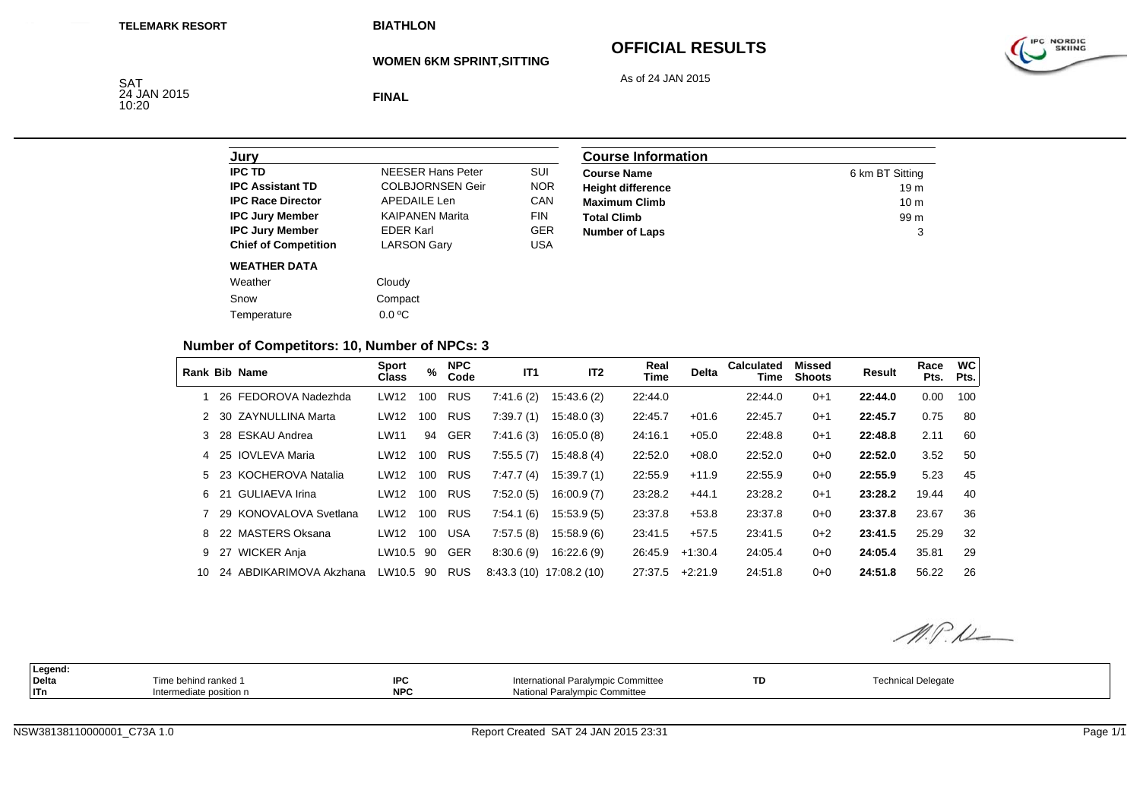## **OFFICIAL RESULTS**



As of 24 JAN 2015

SAT<br>24 JAN 2015<br>10:20

**FINAL**

| Jury                        |                          |            |
|-----------------------------|--------------------------|------------|
| <b>IPC TD</b>               | <b>NFFSFR Hans Peter</b> | SUI        |
| <b>IPC Assistant TD</b>     | <b>COLBJORNSEN Geir</b>  | <b>NOR</b> |
| <b>IPC Race Director</b>    | APFDAIL F Len            | CAN        |
| <b>IPC Jury Member</b>      | <b>KAIPANEN Marita</b>   | <b>FIN</b> |
| <b>IPC Jury Member</b>      | <b>FDFR Karl</b>         | <b>GER</b> |
| <b>Chief of Competition</b> | <b>LARSON Gary</b>       | USA        |
| <b>WEATHER DATA</b>         |                          |            |
| Weather                     | Cloudy                   |            |
| Snow                        | Compact                  |            |
| Temperature                 | $0.0 \degree C$          |            |

| <b>Course Information</b> |                 |
|---------------------------|-----------------|
| <b>Course Name</b>        | 6 km BT Sitting |
| <b>Height difference</b>  | 19 <sub>m</sub> |
| <b>Maximum Climb</b>      | 10 <sub>m</sub> |
| <b>Total Climb</b>        | 99 m            |
| <b>Number of Laps</b>     | 3               |

#### **Number of Competitors: 10, Number of NPCs: 3**

|     | <b>Rank Bib Name</b>     | <b>Sport</b><br><b>Class</b> | %   | <b>NPC</b><br>Code | IT <sub>1</sub> | IT <sub>2</sub>          | Real<br><b>Time</b> | <b>Delta</b> | <b>Calculated</b><br>Time | Missed<br><b>Shoots</b> | Result  | Race<br>Pts. | <b>WC</b><br>Pts. |
|-----|--------------------------|------------------------------|-----|--------------------|-----------------|--------------------------|---------------------|--------------|---------------------------|-------------------------|---------|--------------|-------------------|
|     | 26 FEDOROVA Nadezhda     | LW12                         | 100 | <b>RUS</b>         | 7:41.6(2)       | 15:43.6 (2)              | 22:44.0             |              | 22:44.0                   | $0 + 1$                 | 22:44.0 | 0.00         | 100               |
|     | 2 30 ZAYNULLINA Marta    | LW12                         | 100 | <b>RUS</b>         | 7:39.7(1)       | 15:48.0(3)               | 22:45.7             | $+01.6$      | 22:45.7                   | $0 + 1$                 | 22:45.7 | 0.75         | 80                |
|     | 3 28 ESKAU Andrea        | LW11                         | 94  | <b>GER</b>         | 7:41.6(3)       | 16:05.0(8)               | 24:16.1             | $+05.0$      | 22:48.8                   | $0 + 1$                 | 22:48.8 | 2.11         | 60                |
|     | 4 25 IOVLEVA Maria       | LW12                         | 100 | <b>RUS</b>         | 7:55.5(7)       | 15.48.8(4)               | 22:52.0             | $+08.0$      | 22:52.0                   | $0 + 0$                 | 22:52.0 | 3.52         | 50                |
|     | 5 23 KOCHEROVA Natalia   | LW12                         | 100 | <b>RUS</b>         | 7:47.7(4)       | 15:39.7(1)               | 22:55.9             | $+11.9$      | 22:55.9                   | $0 + 0$                 | 22:55.9 | 5.23         | 45                |
|     | 6 21 GULIAEVA Irina      | LW12                         | 100 | <b>RUS</b>         | 7:52.0(5)       | 16:00.9(7)               | 23:28.2             | $+44.1$      | 23:28.2                   | $0 + 1$                 | 23:28.2 | 19.44        | 40                |
|     | 7 29 KONOVALOVA Svetlana | LW12                         | 100 | <b>RUS</b>         | 7:54.1(6)       | 15.53.9(5)               | 23:37.8             | $+53.8$      | 23:37.8                   | $0 + 0$                 | 23:37.8 | 23.67        | 36                |
|     | 8 22 MASTERS Oksana      | LW12                         | 100 | <b>USA</b>         | 7:57.5(8)       | 15.58.9(6)               | 23:41.5             | $+57.5$      | 23:41.5                   | $0+2$                   | 23:41.5 | 25.29        | 32                |
|     | 9 27 WICKER Anja         | LW10.5                       | 90  | <b>GER</b>         | 8:30.6(9)       | 16:22.6(9)               | 26:45.9             | $+1:30.4$    | 24:05.4                   | $0 + 0$                 | 24:05.4 | 35.81        | 29                |
| 10. | 24 ABDIKARIMOVA Akzhana  | LW10.5                       | 90  | <b>RUS</b>         |                 | 8:43.3 (10) 17:08.2 (10) | 27:37.5             | $+2:21.9$    | 24:51.8                   | $0 + 0$                 | 24:51.8 | 56.22        | 26                |

M.P.M

| Legend:<br>Delta<br>  ITn | Time behind ranked 1<br>ntermediate position n | מסו<br>ᄕ<br><b>NPC</b> | International Paralympic Committee<br>National Paralympic Committee | <b>TD</b> | <b>Technical Delegate</b> |  |
|---------------------------|------------------------------------------------|------------------------|---------------------------------------------------------------------|-----------|---------------------------|--|
|                           |                                                |                        |                                                                     |           |                           |  |

IPC NORDIC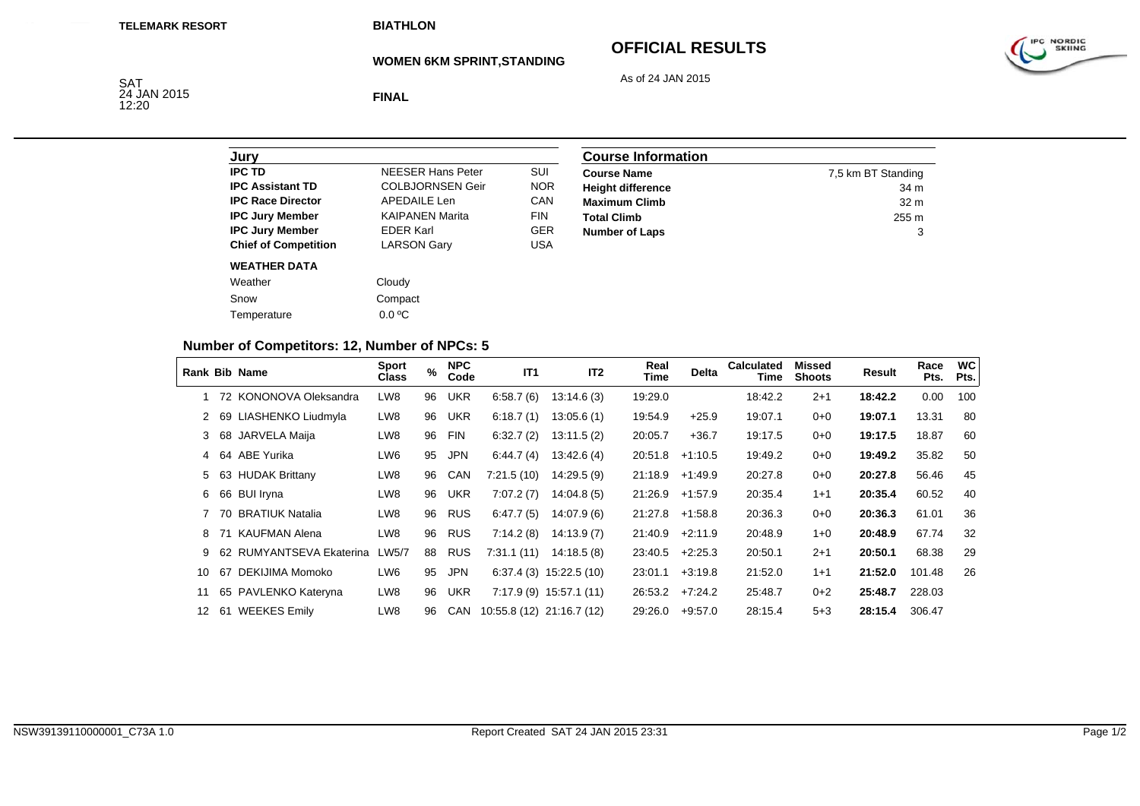**WOMEN 6KM SPRINT,STANDING**

## **OFFICIAL RESULTS**



As of 24 JAN 2015



**FINAL**

| Jury                        |                          |            |
|-----------------------------|--------------------------|------------|
| <b>IPC TD</b>               | <b>NEESER Hans Peter</b> | SUI        |
| <b>IPC Assistant TD</b>     | <b>COLBJORNSEN Geir</b>  | <b>NOR</b> |
| <b>IPC Race Director</b>    | <b>APEDAILE Len</b>      | CAN        |
| <b>IPC Jury Member</b>      | <b>KAIPANEN Marita</b>   | FIN        |
| <b>IPC Jury Member</b>      | <b>EDER Karl</b>         | <b>GER</b> |
| <b>Chief of Competition</b> | <b>LARSON Gary</b>       | USA        |
| <b>WEATHER DATA</b>         |                          |            |
| Weather                     | Cloudy                   |            |
| Snow                        | Compact                  |            |
| Temperature                 | $0.0 \degree C$          |            |

| <b>Course Information</b> |                    |
|---------------------------|--------------------|
| <b>Course Name</b>        | 7,5 km BT Standing |
| <b>Height difference</b>  | 34 m               |
| <b>Maximum Climb</b>      | 32 <sub>m</sub>    |
| <b>Total Climb</b>        | 255 m              |
| <b>Number of Laps</b>     | 3                  |

#### **Number of Competitors: 12, Number of NPCs: 5**

|                 |     | Rank Bib Name            | <b>Sport</b><br><b>Class</b> | %  | <b>NPC</b><br>Code | IT <sub>1</sub>           | IT <sub>2</sub>          | Real<br>Time | <b>Delta</b> | <b>Calculated</b><br>Time | Missed<br><b>Shoots</b> | Result  | Race<br>Pts. | <b>WC</b><br>Pts. |
|-----------------|-----|--------------------------|------------------------------|----|--------------------|---------------------------|--------------------------|--------------|--------------|---------------------------|-------------------------|---------|--------------|-------------------|
|                 |     | 72 KONONOVA Oleksandra   | LW8                          | 96 | <b>UKR</b>         | 6:58.7(6)                 | 13:14.6(3)               | 19:29.0      |              | 18:42.2                   | $2 + 1$                 | 18:42.2 | 0.00         | 100               |
| 2               |     | 69 LIASHENKO Liudmyla    | LW8                          | 96 | <b>UKR</b>         | 6:18.7(1)                 | 13.05.6(1)               | 19:54.9      | $+25.9$      | 19:07.1                   | $0 + 0$                 | 19:07.1 | 13.31        | 80                |
| 3               | 68  | JARVELA Maija            | LW8                          | 96 | <b>FIN</b>         | 6:32.7(2)                 | 13:11.5(2)               | 20:05.7      | $+36.7$      | 19:17.5                   | $0 + 0$                 | 19:17.5 | 18.87        | 60                |
| 4               |     | 64 ABE Yurika            | LW6                          | 95 | <b>JPN</b>         | 6:44.7(4)                 | 13:42.6(4)               | 20:51.8      | $+1:10.5$    | 19:49.2                   | $0 + 0$                 | 19:49.2 | 35.82        | 50                |
| 5               |     | 63 HUDAK Brittany        | LW8                          | 96 | <b>CAN</b>         | 7:21.5(10)                | 14:29.5 (9)              | 21:18.9      | $+1.49.9$    | 20:27.8                   | $0 + 0$                 | 20:27.8 | 56.46        | 45                |
| 6               |     | 66 BUI Iryna             | LW8                          | 96 | <b>UKR</b>         | 7:07.2(7)                 | 14.04.8(5)               | 21:26.9      | +1:57.9      | 20:35.4                   | $1 + 1$                 | 20:35.4 | 60.52        | 40                |
|                 |     | 70 BRATIUK Natalia       | LW8                          | 96 | <b>RUS</b>         | 6:47.7(5)                 | 14:07.9 (6)              | 21:27.8      | $+1.58.8$    | 20:36.3                   | $0 + 0$                 | 20:36.3 | 61.01        | 36                |
| 8               | 71  | KAUFMAN Alena            | LW8                          | 96 | <b>RUS</b>         | 7:14.2(8)                 | 14:13.9(7)               | 21:40.9      | $+2:11.9$    | 20:48.9                   | $1 + 0$                 | 20:48.9 | 67.74        | 32                |
| 9               |     | 62 RUMYANTSEVA Ekaterina | LW5/7                        | 88 | <b>RUS</b>         | 7:31.1(11)                | 14:18.5(8)               | 23:40.5      | $+2:25.3$    | 20:50.1                   | $2 + 1$                 | 20:50.1 | 68.38        | 29                |
| 10              | 67  | DEKIJIMA Momoko          | LW6                          | 95 | <b>JPN</b>         |                           | $6:37.4(3)$ 15:22.5 (10) | 23:01.1      | $+3:19.8$    | 21:52.0                   | $1 + 1$                 | 21:52.0 | 101.48       | 26                |
| 11              |     | 65 PAVLENKO Kateryna     | LW8                          | 96 | UKR                |                           | $7:17.9(9)$ 15:57.1 (11) | 26:53.2      | $+7:24.2$    | 25:48.7                   | $0+2$                   | 25:48.7 | 228.03       |                   |
| 12 <sup>2</sup> | -61 | <b>WEEKES Emily</b>      | LW8                          | 96 | CAN                | 10:55.8 (12) 21:16.7 (12) |                          | 29:26.0      | $+9.57.0$    | 28:15.4                   | $5 + 3$                 | 28:15.4 | 306.47       |                   |

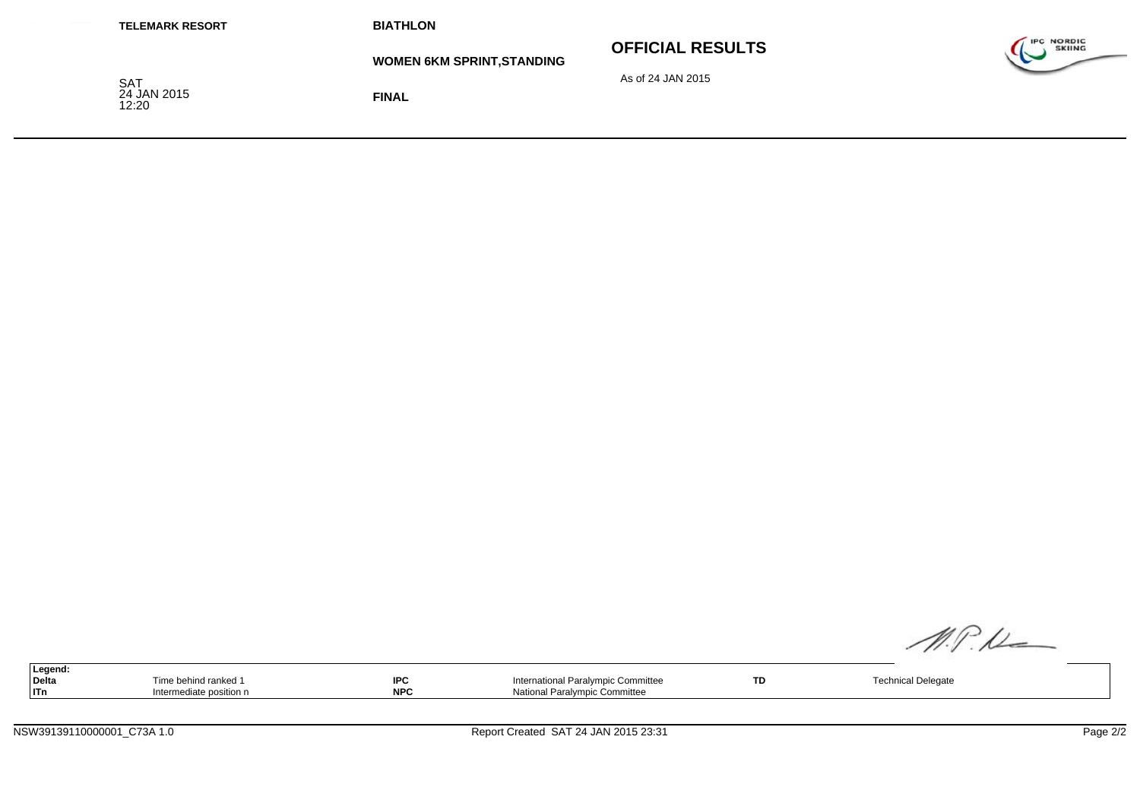| <b>TELEMARK RESORT</b>      | <b>BIATHLON</b>                   |                         |                                    |
|-----------------------------|-----------------------------------|-------------------------|------------------------------------|
|                             | <b>WOMEN 6KM SPRINT, STANDING</b> | <b>OFFICIAL RESULTS</b> | <b>IPC NORDIC</b><br><b>SKIING</b> |
| SAT<br>24 JAN 2015<br>12:20 | <b>FINAL</b>                      | As of 24 JAN 2015       |                                    |

| Legend: |                         |            |                                    |           |                           |
|---------|-------------------------|------------|------------------------------------|-----------|---------------------------|
| Delta   | Time behind ranked 1    | <b>IPC</b> | International Paralympic Committee | <b>TD</b> | <b>Technical Delegate</b> |
| Тn      | Intermediate position n | <b>NPC</b> | National Paralympic Committee      |           |                           |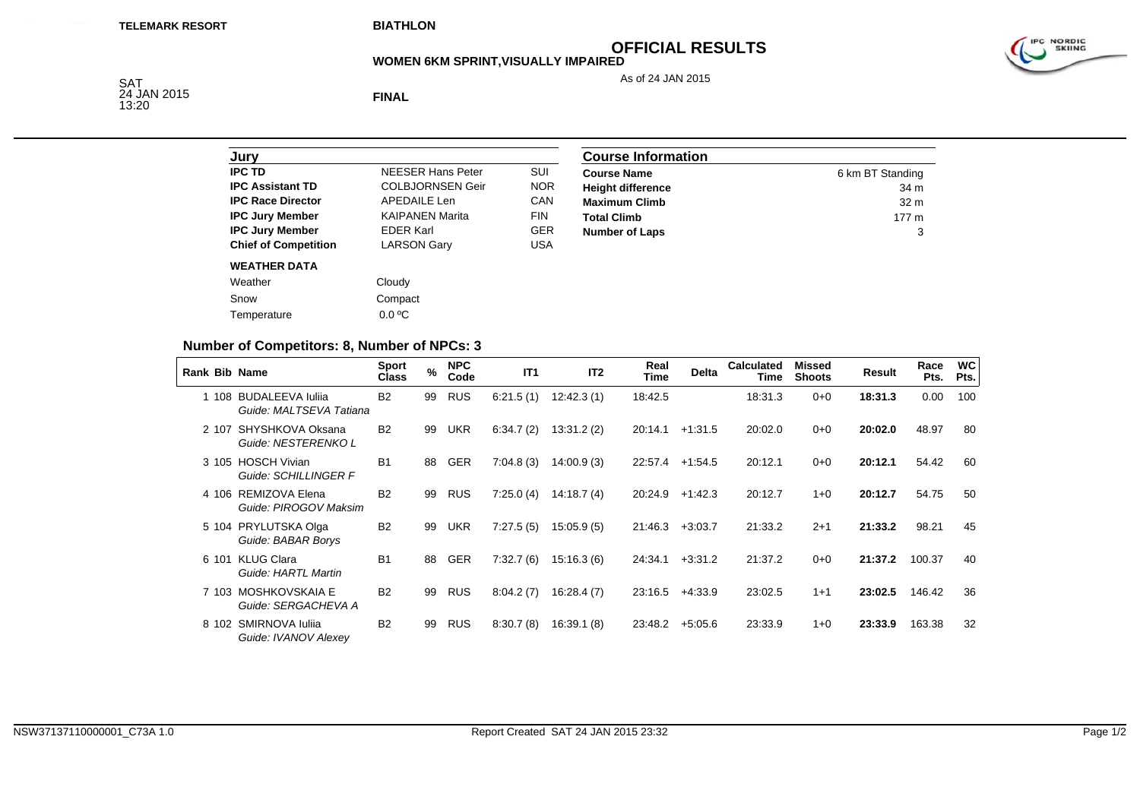# **OFFICIAL RESULTS**

**WOMEN 6KM SPRINT,VISUALLY IMPAIRED**

As of 24 JAN 2015



SAT<br>24 JAN 2015<br>13:20

**FINAL**

| Jury                        |                          |            |
|-----------------------------|--------------------------|------------|
| <b>IPC TD</b>               | <b>NFFSER Hans Peter</b> | SUI        |
| <b>IPC Assistant TD</b>     | <b>COLBJORNSEN Geir</b>  | <b>NOR</b> |
| <b>IPC Race Director</b>    | APFDAIL F Len            | CAN        |
| <b>IPC Jury Member</b>      | <b>KAIPANEN Marita</b>   | <b>FIN</b> |
| <b>IPC Jury Member</b>      | <b>FDFR Karl</b>         | GFR        |
| <b>Chief of Competition</b> | <b>LARSON Gary</b>       | USA        |
| <b>WEATHER DATA</b>         |                          |            |
| Weather                     | Cloudy                   |            |
| Snow                        | Compact                  |            |
| Temperature                 | $0.0 \degree C$          |            |

| <b>Course Information</b> |                  |
|---------------------------|------------------|
| <b>Course Name</b>        | 6 km BT Standing |
| <b>Height difference</b>  | 34 m             |
| <b>Maximum Climb</b>      | 32 <sub>m</sub>  |
| <b>Total Climb</b>        | 177 <sub>m</sub> |
| <b>Number of Laps</b>     | 3                |

#### **Number of Competitors: 8, Number of NPCs: 3**

|       | <b>Rank Bib Name</b>                          | <b>Sport</b><br><b>Class</b> | $\frac{9}{6}$ | <b>NPC</b><br>Code | IT1       | IT <sub>2</sub> | Real<br>Time | <b>Delta</b> | <b>Calculated</b><br>Time | Missed<br><b>Shoots</b> | Result  | Race<br>Pts. | <b>WC</b><br>Pts. |
|-------|-----------------------------------------------|------------------------------|---------------|--------------------|-----------|-----------------|--------------|--------------|---------------------------|-------------------------|---------|--------------|-------------------|
| 1 108 | BUDALEEVA Iulija<br>Guide: MALTSEVA Tatiana   | <b>B2</b>                    | 99            | <b>RUS</b>         | 6:21.5(1) | 12:42.3(1)      | 18:42.5      |              | 18:31.3                   | $0 + 0$                 | 18:31.3 | 0.00         | 100               |
| 2 107 | SHYSHKOVA Oksana<br>Guide: NESTERENKO L       | <b>B2</b>                    | 99            | UKR                | 6:34.7(2) | 13:31.2(2)      | 20:14.1      | $+1:31.5$    | 20:02.0                   | $0 + 0$                 | 20:02.0 | 48.97        | 80                |
| 3 105 | <b>HOSCH Vivian</b><br>Guide: SCHILLINGER F   | <b>B1</b>                    | 88            | <b>GER</b>         | 7:04.8(3) | 14:00.9(3)      | 22:57.4      | $+1:54.5$    | 20:12.1                   | $0 + 0$                 | 20:12.1 | 54.42        | 60                |
| 4 106 | REMIZOVA Elena<br>Guide: PIROGOV Maksim       | <b>B2</b>                    | 99            | <b>RUS</b>         | 7:25.0(4) | 14:18.7(4)      | 20:24.9      | $+1:42.3$    | 20:12.7                   | $1 + 0$                 | 20:12.7 | 54.75        | 50                |
| 5 104 | PRYLUTSKA Olga<br>Guide: BABAR Borys          | <b>B2</b>                    | 99            | <b>UKR</b>         | 7:27.5(5) | 15:05.9(5)      | 21:46.3      | $+3:03.7$    | 21:33.2                   | $2 + 1$                 | 21:33.2 | 98.21        | 45                |
| 6 101 | <b>KLUG Clara</b><br>Guide: HARTL Martin      | <b>B1</b>                    | 88            | <b>GER</b>         | 7:32.7(6) | 15:16.3(6)      | 24:34.1      | $+3:31.2$    | 21:37.2                   | $0+0$                   | 21:37.2 | 100.37       | 40                |
| 7 103 | MOSHKOVSKAIA E<br>Guide: SERGACHEVA A         | <b>B2</b>                    | 99            | <b>RUS</b>         | 8:04.2(7) | 16:28.4(7)      | 23:16.5      | $+4:33.9$    | 23:02.5                   | $1 + 1$                 | 23:02.5 | 146.42       | 36                |
|       | 8 102 SMIRNOVA Iulija<br>Guide: IVANOV Alexey | <b>B2</b>                    | 99            | RUS                | 8:30.7(8) | 16:39.1 (8)     | 23:48.2      | $+5:05.6$    | 23:33.9                   | $1 + 0$                 | 23:33.9 | 163.38       | 32                |